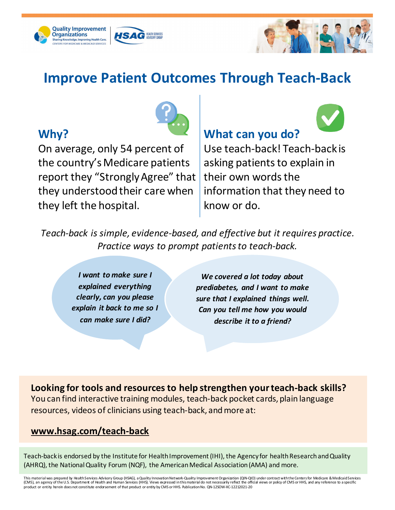





## **Improve Patient Outcomes Through Teach-Back**

#### **Why?**



On average, only 54 percent of the country's Medicare patients report they "Strongly Agree" that their own words the they understood their care when they left the hospital.

### **What can you do?**

Use teach-back! Teach-back is asking patients to explain in information that they need to know or do.

*Teach-back is simple, evidence-based, and effective but it requires practice. Practice ways to prompt patients to teach-back.*

*I want to make sure I explained everything clearly, can you please explain it back to me so I can make sure I did?*

*We covered a lot today about prediabetes, and I want to make sure that I explained things well. Can you tell me how you would describe it to a friend?*

**Looking for tools and resources to help strengthen your teach-back skills?**  You can find interactive training modules, teach-back pocket cards, plain language resources, videos of clinicians using teach-back, and more at:

#### **[www.hsag.com/teach-back](http://www.hsag.com/teach-back)**

Teach-back is endorsed by the Institute for Health Improvement (IHI), the Agency for health Research and Quality (AHRQ), the National Quality Forum (NQF), the AmericanMedical Association (AMA) and more.

This material was prepared by Health Services Advisory Group (HSAG), a Quality Innovation Network-Quality Improvement Organization (QIN-QIO) under contract with the Centers for Medicare & Medicaid Services (CMS), an agency of the U.S. Department of Health and Human Services (HHS). Views expressed in this material do not necessarily reflect the official views or policy of CMS or HHS, and any reference to a specific<br>product or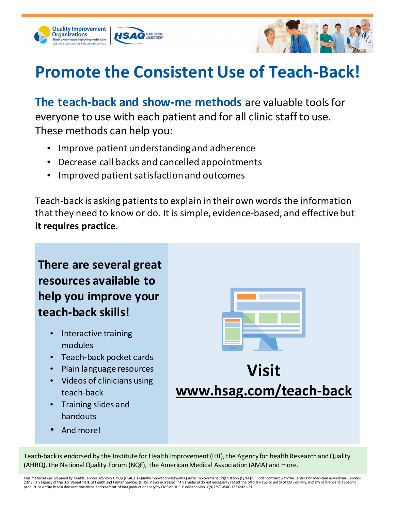



# **Promote the Consistent Use of Teach-Back!**

**The teach-back and show-me methods** are valuable tools for everyone to use with each patient and for all clinic staff to use. These methods can help you:

- Improve patient understanding and adherence
- Decrease call backs and cancelled appointments
- Improved patient satisfaction and outcomes

Teach-back is asking patients to explain in their own words the information that they need to know or do. It is simple, evidence-based, and effective but **it requires practice**.

## **There are several great resources available to help you improve your teach-back skills!**

- Interactive training modules
- Teach-back pocket cards
- Plain language resources
- Videos of clinicians using teach-back
- Training slides and handouts
- And more!



# **Visit [www.hsag.com/teach-back](http://www.hsag.com/teach-back)**

Teach-back is endorsed by the Institute for Health Improvement (IHI), the Agency for health Research and Quality (AHRQ), the National Quality Forum (NQF), the American Medical Association (AMA) and more.

This material was prepared by Health Services Advisory Group (HSAG), a Quality Innovation Network-Quality Improvement Organization (QIN-QIO) under contract with the Centers for Medicare & Medicaid Services (CMS), an agency of the U.S. Department of Health and Human Services (HHS). Views expressed in this material do not necessarily reflect the official views or policy of CMS or HHS, and any reference to a specific<br>product or